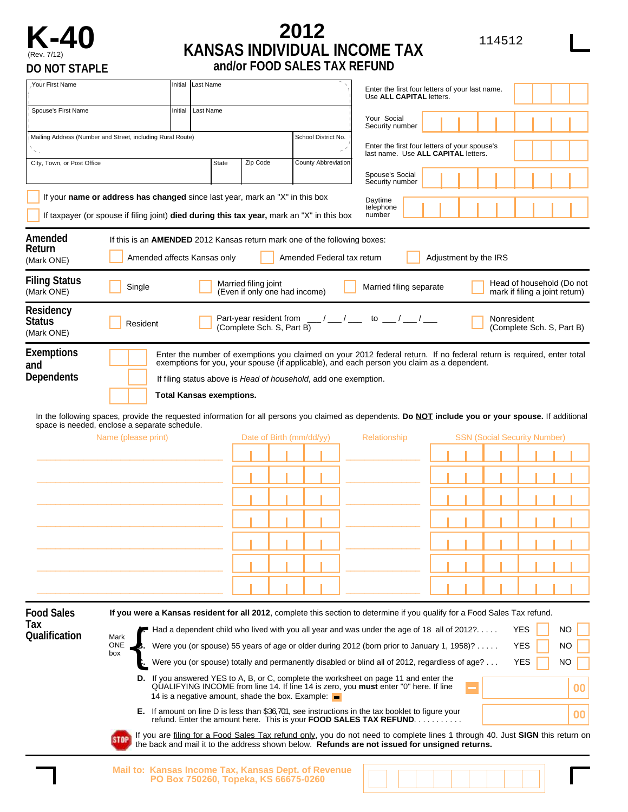

## **K-40 2012 2012 EXAMSAS INDIVIDUAL INCOME TAX DO NOT STAPLE and/or FOOD SALES TAX REFUND**

| Your First Name                                                                                                                                                                                                                            |                                                                                                                 | Initial | Last Name |                                                                                                    |                                                               | Enter the first four letters of your last name.<br>Use ALL CAPITAL letters. |                                |                                                                                                                                                                                                                                                                                                                                                                                                                                                                                                                                                                                                                                                                                                                                                                                                                                                                                                                                                                                                                                                       |                       |                                     |                                                             |                |          |
|--------------------------------------------------------------------------------------------------------------------------------------------------------------------------------------------------------------------------------------------|-----------------------------------------------------------------------------------------------------------------|---------|-----------|----------------------------------------------------------------------------------------------------|---------------------------------------------------------------|-----------------------------------------------------------------------------|--------------------------------|-------------------------------------------------------------------------------------------------------------------------------------------------------------------------------------------------------------------------------------------------------------------------------------------------------------------------------------------------------------------------------------------------------------------------------------------------------------------------------------------------------------------------------------------------------------------------------------------------------------------------------------------------------------------------------------------------------------------------------------------------------------------------------------------------------------------------------------------------------------------------------------------------------------------------------------------------------------------------------------------------------------------------------------------------------|-----------------------|-------------------------------------|-------------------------------------------------------------|----------------|----------|
| Spouse's First Name<br>Last Name<br>Initial                                                                                                                                                                                                |                                                                                                                 |         |           |                                                                                                    |                                                               |                                                                             | Your Social<br>Security number |                                                                                                                                                                                                                                                                                                                                                                                                                                                                                                                                                                                                                                                                                                                                                                                                                                                                                                                                                                                                                                                       |                       |                                     |                                                             |                |          |
| Mailing Address (Number and Street, including Rural Route)                                                                                                                                                                                 |                                                                                                                 |         |           |                                                                                                    | School District No.<br>Zip Code<br><b>County Abbreviation</b> |                                                                             |                                | Enter the first four letters of your spouse's<br>last name. Use ALL CAPITAL letters.                                                                                                                                                                                                                                                                                                                                                                                                                                                                                                                                                                                                                                                                                                                                                                                                                                                                                                                                                                  |                       |                                     |                                                             |                |          |
| City, Town, or Post Office                                                                                                                                                                                                                 |                                                                                                                 |         |           | <b>State</b>                                                                                       |                                                               |                                                                             |                                | Spouse's Social<br>Security number                                                                                                                                                                                                                                                                                                                                                                                                                                                                                                                                                                                                                                                                                                                                                                                                                                                                                                                                                                                                                    |                       |                                     |                                                             |                |          |
| If your name or address has changed since last year, mark an "X" in this box<br>If taxpayer (or spouse if filing joint) died during this tax year, mark an "X" in this box                                                                 |                                                                                                                 |         |           |                                                                                                    |                                                               |                                                                             |                                | Daytime<br>telephone<br>number                                                                                                                                                                                                                                                                                                                                                                                                                                                                                                                                                                                                                                                                                                                                                                                                                                                                                                                                                                                                                        |                       |                                     |                                                             |                |          |
| Amended<br>Return<br>(Mark ONE)                                                                                                                                                                                                            | If this is an <b>AMENDED</b> 2012 Kansas return mark one of the following boxes:<br>Amended affects Kansas only |         |           |                                                                                                    |                                                               | Amended Federal tax return                                                  |                                |                                                                                                                                                                                                                                                                                                                                                                                                                                                                                                                                                                                                                                                                                                                                                                                                                                                                                                                                                                                                                                                       | Adjustment by the IRS |                                     |                                                             |                |          |
| Filing Status<br>(Mark ONE)                                                                                                                                                                                                                | Single                                                                                                          |         |           | Married filing joint<br>(Even if only one had income)                                              |                                                               |                                                                             |                                | Married filing separate                                                                                                                                                                                                                                                                                                                                                                                                                                                                                                                                                                                                                                                                                                                                                                                                                                                                                                                                                                                                                               |                       |                                     | Head of household (Do not<br>mark if filing a joint return) |                |          |
| Residency<br>Status<br>(Mark ONE)                                                                                                                                                                                                          | Resident                                                                                                        |         |           | (Complete Sch. S, Part B)                                                                          |                                                               |                                                                             |                                | Part-year resident from $\frac{1}{2}$ / $\frac{1}{2}$ to $\frac{1}{2}$ / $\frac{1}{2}$                                                                                                                                                                                                                                                                                                                                                                                                                                                                                                                                                                                                                                                                                                                                                                                                                                                                                                                                                                |                       | Nonresident                         | (Complete Sch. S, Part B)                                   |                |          |
| Exemptions<br>and<br>Dependents<br>In the following spaces, provide the requested information for all persons you claimed as dependents. Do NOT include you or your spouse. If additional<br>space is needed, enclose a separate schedule. | Name (please print)                                                                                             |         |           | If filing status above is Head of household, add one exemption.<br><b>Total Kansas exemptions.</b> | Date of Birth (mm/dd/yy)                                      |                                                                             |                                | Enter the number of exemptions you claimed on your 2012 federal return. If no federal return is required, enter total<br>exemptions for you, your spouse (if applicable), and each person you claim as a dependent.<br>Relationship                                                                                                                                                                                                                                                                                                                                                                                                                                                                                                                                                                                                                                                                                                                                                                                                                   |                       | <b>SSN (Social Security Number)</b> |                                                             |                |          |
|                                                                                                                                                                                                                                            |                                                                                                                 |         |           |                                                                                                    |                                                               |                                                                             |                                |                                                                                                                                                                                                                                                                                                                                                                                                                                                                                                                                                                                                                                                                                                                                                                                                                                                                                                                                                                                                                                                       |                       |                                     |                                                             |                |          |
| <b>Food Sales</b><br>Tax<br>Qualification                                                                                                                                                                                                  | Mark<br><b>ONE</b><br>box<br>C.                                                                                 |         |           | 14 is a negative amount, shade the box. Example: $\blacksquare$                                    |                                                               |                                                                             |                                | If you were a Kansas resident for all 2012, complete this section to determine if you qualify for a Food Sales Tax refund.<br>A. Had a dependent child who lived with you all year and was under the age of 18 all of 2012?<br>B. Were you (or spouse) 55 years of age or older during 2012 (born prior to January 1, 1958)?<br>Were you (or spouse) totally and permanently disabled or blind all of 2012, regardless of age?<br><b>D.</b> If you answered YES to A, B, or C, complete the worksheet on page 11 and enter the<br>QUALIFYING INCOME from line 14. If line 14 is zero, you <b>must</b> enter "0" here. If line<br><b>E.</b> If amount on line D is less than \$36,701, see instructions in the tax booklet to figure your<br>refund. Enter the amount here. This is your <b>FOOD SALES TAX REFUND</b><br>If you are filing for a Food Sales Tax refund only, you do not need to complete lines 1 through 40. Just SIGN this return on<br>the back and mail it to the address shown below. Refunds are not issued for unsigned returns. |                       |                                     | <b>YES</b><br>YES<br>YES                                    | NO<br>NO<br>NO | 00<br>00 |
|                                                                                                                                                                                                                                            | Mail to: Kansas Income Tax, Kansas Dept. of Revenue                                                             |         |           | PO Box 750260, Topeka, KS 66675-0260                                                               |                                                               |                                                                             |                                |                                                                                                                                                                                                                                                                                                                                                                                                                                                                                                                                                                                                                                                                                                                                                                                                                                                                                                                                                                                                                                                       |                       |                                     |                                                             |                |          |